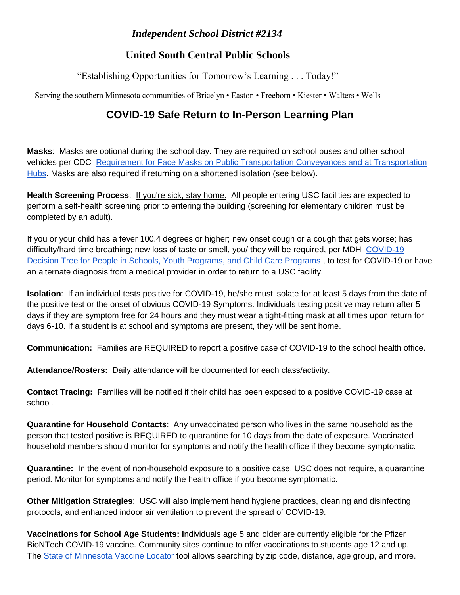## *Independent School District #2134*

## **United South Central Public Schools**

"Establishing Opportunities for Tomorrow's Learning . . . Today!"

Serving the southern Minnesota communities of Bricelyn • Easton • Freeborn • Kiester • Walters • Wells

## **COVID-19 Safe Return to In-Person Learning Plan**

**Masks**: Masks are optional during the school day. They are required on school buses and other school vehicles per CDC [Requirement for Face Masks on Public Transportation Conveyances and at Transportation](https://www.cdc.gov/coronavirus/2019-ncov/travelers/face-masks-public-transportation.html)  [Hubs.](https://www.cdc.gov/coronavirus/2019-ncov/travelers/face-masks-public-transportation.html) Masks are also required if returning on a shortened isolation (see below).

**Health Screening Process**: If you're sick, stay home. All people entering USC facilities are expected to perform a self-health screening prior to entering the building (screening for elementary children must be completed by an adult).

If you or your child has a fever 100.4 degrees or higher; new onset cough or a cough that gets worse; has difficulty/hard time breathing; new loss of taste or smell, you/ they will be required, per MDH [COVID-19](https://www.health.state.mn.us/diseases/coronavirus/schools/exguide.pdf)  [Decision Tree for People in Schools, Youth Programs, and Child Care Programs](https://www.health.state.mn.us/diseases/coronavirus/schools/exguide.pdf), to test for COVID-19 or have an alternate diagnosis from a medical provider in order to return to a USC facility.

**Isolation**: If an individual tests positive for COVID-19, he/she must isolate for at least 5 days from the date of the positive test or the onset of obvious COVID-19 Symptoms. Individuals testing positive may return after 5 days if they are symptom free for 24 hours and they must wear a tight-fitting mask at all times upon return for days 6-10. If a student is at school and symptoms are present, they will be sent home.

**Communication:** Families are REQUIRED to report a positive case of COVID-19 to the school health office.

**Attendance/Rosters:** Daily attendance will be documented for each class/activity.

**Contact Tracing:** Families will be notified if their child has been exposed to a positive COVID-19 case at school.

**Quarantine for Household Contacts**: Any unvaccinated person who lives in the same household as the person that tested positive is REQUIRED to quarantine for 10 days from the date of exposure. Vaccinated household members should monitor for symptoms and notify the health office if they become symptomatic.

**Quarantine:** In the event of non-household exposure to a positive case, USC does not require, a quarantine period. Monitor for symptoms and notify the health office if you become symptomatic.

**Other Mitigation Strategies**: USC will also implement hand hygiene practices, cleaning and disinfecting protocols, and enhanced indoor air ventilation to prevent the spread of COVID-19.

**Vaccinations for School Age Students: I**ndividuals age 5 and older are currently eligible for the Pfizer BioNTech COVID-19 vaccine. Community sites continue to offer vaccinations to students age 12 and up. The [State of Minnesota Vaccine Locator](https://mn.gov/covid19/vaccine/connector/index.jsp) tool allows searching by zip code, distance, age group, and more.